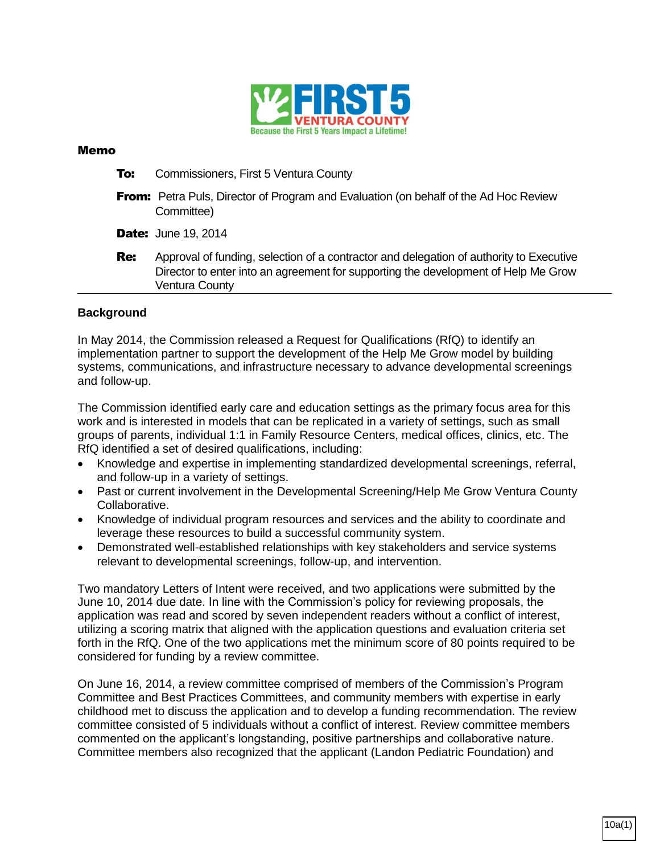

## Memo

- **To:** Commissioners, First 5 Ventura County
- **From:** Petra Puls, Director of Program and Evaluation (on behalf of the Ad Hoc Review Committee)
- **Date:** June 19, 2014
- **Re:** Approval of funding, selection of a contractor and delegation of authority to Executive Director to enter into an agreement for supporting the development of Help Me Grow Ventura County

## **Background**

In May 2014, the Commission released a Request for Qualifications (RfQ) to identify an implementation partner to support the development of the Help Me Grow model by building systems, communications, and infrastructure necessary to advance developmental screenings and follow-up.

The Commission identified early care and education settings as the primary focus area for this work and is interested in models that can be replicated in a variety of settings, such as small groups of parents, individual 1:1 in Family Resource Centers, medical offices, clinics, etc. The RfQ identified a set of desired qualifications, including:

- Knowledge and expertise in implementing standardized developmental screenings, referral, and follow-up in a variety of settings.
- Past or current involvement in the Developmental Screening/Help Me Grow Ventura County Collaborative.
- Knowledge of individual program resources and services and the ability to coordinate and leverage these resources to build a successful community system.
- Demonstrated well-established relationships with key stakeholders and service systems relevant to developmental screenings, follow-up, and intervention.

Two mandatory Letters of Intent were received, and two applications were submitted by the June 10, 2014 due date. In line with the Commission's policy for reviewing proposals, the application was read and scored by seven independent readers without a conflict of interest, utilizing a scoring matrix that aligned with the application questions and evaluation criteria set forth in the RfQ. One of the two applications met the minimum score of 80 points required to be considered for funding by a review committee.

On June 16, 2014, a review committee comprised of members of the Commission's Program Committee and Best Practices Committees, and community members with expertise in early childhood met to discuss the application and to develop a funding recommendation. The review committee consisted of 5 individuals without a conflict of interest. Review committee members commented on the applicant's longstanding, positive partnerships and collaborative nature. Committee members also recognized that the applicant (Landon Pediatric Foundation) and